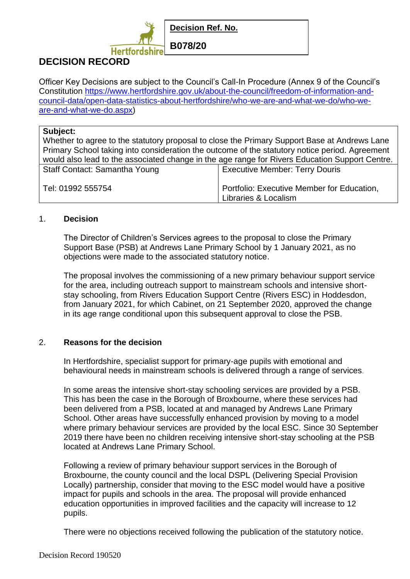

# **DECISION RECORD**

Officer Key Decisions are subject to the Council's Call-In Procedure (Annex 9 of the Council's Constitution [https://www.hertfordshire.gov.uk/about-the-council/freedom-of-information-and](https://www.hertfordshire.gov.uk/about-the-council/freedom-of-information-and-council-data/open-data-statistics-about-hertfordshire/who-we-are-and-what-we-do/who-we-are-and-what-we-do.aspx)[council-data/open-data-statistics-about-hertfordshire/who-we-are-and-what-we-do/who-we](https://www.hertfordshire.gov.uk/about-the-council/freedom-of-information-and-council-data/open-data-statistics-about-hertfordshire/who-we-are-and-what-we-do/who-we-are-and-what-we-do.aspx)[are-and-what-we-do.aspx\)](https://www.hertfordshire.gov.uk/about-the-council/freedom-of-information-and-council-data/open-data-statistics-about-hertfordshire/who-we-are-and-what-we-do/who-we-are-and-what-we-do.aspx)

### **Subject:**

Whether to agree to the statutory proposal to close the Primary Support Base at Andrews Lane Primary School taking into consideration the outcome of the statutory notice period. Agreement would also lead to the associated change in the age range for Rivers Education Support Centre.

| Staff Contact: Samantha Young | Executive Member: Terry Douris             |
|-------------------------------|--------------------------------------------|
| Tel: 01992 555754             | Portfolio: Executive Member for Education, |
|                               | Libraries & Localism                       |

#### 1. **Decision**

The Director of Children's Services agrees to the proposal to close the Primary Support Base (PSB) at Andrews Lane Primary School by 1 January 2021, as no objections were made to the associated statutory notice.

The proposal involves the commissioning of a new primary behaviour support service for the area, including outreach support to mainstream schools and intensive shortstay schooling, from Rivers Education Support Centre (Rivers ESC) in Hoddesdon, from January 2021, for which Cabinet, on 21 September 2020, approved the change in its age range conditional upon this subsequent approval to close the PSB.

### 2. **Reasons for the decision**

In Hertfordshire, specialist support for primary-age pupils with emotional and behavioural needs in mainstream schools is delivered through a range of services.

In some areas the intensive short-stay schooling services are provided by a PSB. This has been the case in the Borough of Broxbourne, where these services had been delivered from a PSB, located at and managed by Andrews Lane Primary School. Other areas have successfully enhanced provision by moving to a model where primary behaviour services are provided by the local ESC. Since 30 September 2019 there have been no children receiving intensive short-stay schooling at the PSB located at Andrews Lane Primary School.

Following a review of primary behaviour support services in the Borough of Broxbourne, the county council and the local DSPL (Delivering Special Provision Locally) partnership, consider that moving to the ESC model would have a positive impact for pupils and schools in the area. The proposal will provide enhanced education opportunities in improved facilities and the capacity will increase to 12 pupils.

There were no objections received following the publication of the statutory notice.